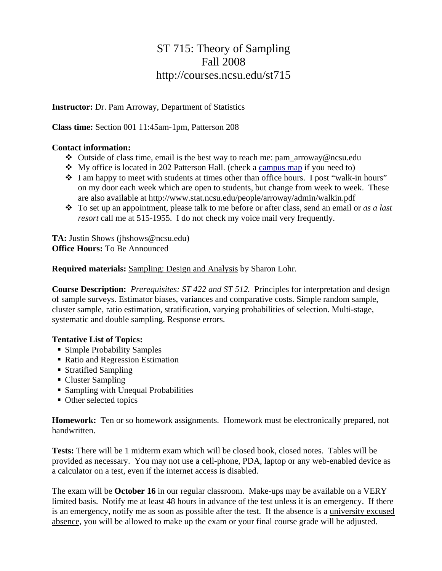## ST 715: Theory of Sampling Fall 2008 http://courses.ncsu.edu/st715

**Instructor:** Dr. Pam Arroway, Department of Statistics

**Class time:** Section 001 11:45am-1pm, Patterson 208

## **Contact information:**

- Outside of class time, email is the best way to reach me: pam\_arroway@ncsu.edu
- My office is located in 202 Patterson Hall. (check a campus map if you need to)
- $\cdot \cdot$  I am happy to meet with students at times other than office hours. I post "walk-in hours" on my door each week which are open to students, but change from week to week. These are also available at http://www.stat.ncsu.edu/people/arroway/admin/walkin.pdf
- To set up an appointment, please talk to me before or after class, send an email or *as a last resort* call me at 515-1955. I do not check my voice mail very frequently.

**TA:** Justin Shows (jhshows@ncsu.edu) **Office Hours:** To Be Announced

**Required materials:** Sampling: Design and Analysis by Sharon Lohr.

**Course Description:** *Prerequisites: ST 422 and ST 512.* Principles for interpretation and design of sample surveys. Estimator biases, variances and comparative costs. Simple random sample, cluster sample, ratio estimation, stratification, varying probabilities of selection. Multi-stage, systematic and double sampling. Response errors.

## **Tentative List of Topics:**

- Simple Probability Samples
- Ratio and Regression Estimation
- Stratified Sampling
- Cluster Sampling
- Sampling with Unequal Probabilities
- Other selected topics

**Homework:** Ten or so homework assignments. Homework must be electronically prepared, not handwritten.

**Tests:** There will be 1 midterm exam which will be closed book, closed notes. Tables will be provided as necessary. You may not use a cell-phone, PDA, laptop or any web-enabled device as a calculator on a test, even if the internet access is disabled.

The exam will be **October 16** in our regular classroom. Make-ups may be available on a VERY limited basis. Notify me at least 48 hours in advance of the test unless it is an emergency. If there is an emergency, notify me as soon as possible after the test. If the absence is a university excused absence, you will be allowed to make up the exam or your final course grade will be adjusted.